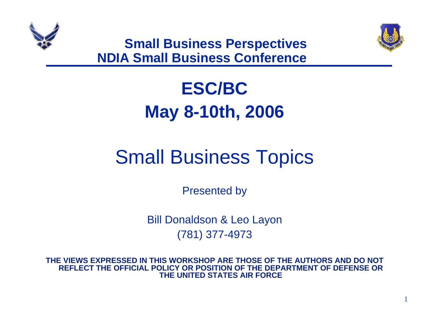



1

**Small Business Perspectives NDIA Small Business Conference**

# **ESC/BCMay 8-10th, 2006**

# Small Business Topics

Presented by

Bill Donaldson & Leo Layon (781) 377-4973

**THE VIEWS EXPRESSED IN THIS WORKSHOP ARE THOSE OF THE AUTHORS AND DO NOT REFLECT THE OFFICIAL POLICY OR POSITION OF THE DEPARTMENT OF DEFENSE OR THE UNITED STATES AIR FORCE**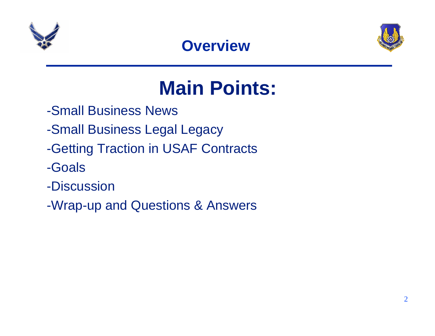

#### **Overview**



# **Main Points:**

- -Small Business News
- -Small Business Legal Legacy
- -Getting Traction in USAF Contracts
- -Goals
- -Discussion
- -Wrap-up and Questions & Answers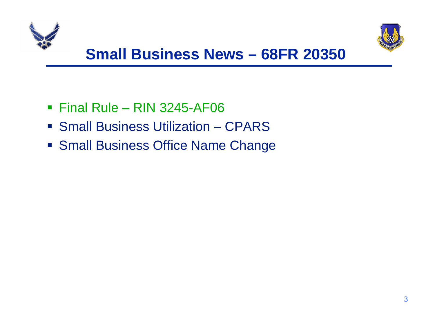



- Final Rule RIN 3245-AF06
- **Small Business Utilization CPARS**
- **Small Business Office Name Change**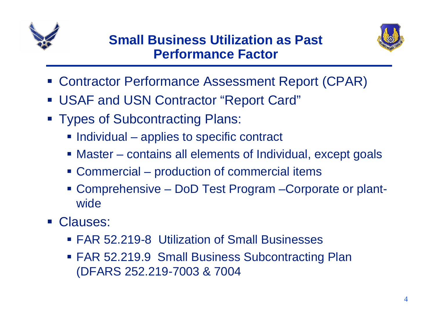



- **Service Service** Contractor Performance Assessment Report (CPAR)
- **Service Service** USAF and USN Contractor "Report Card"
- **Types of Subcontracting Plans:** 
	- **Individual applies to specific contract**
	- Master contains all elements of Individual, except goals
	- Commercial production of commercial items
	- Comprehensive DoD Test Program –Corporate or plantwide
- **Clauses:** 
	- FAR 52.219-8 Utilization of Small Businesses
	- FAR 52.219.9 Small Business Subcontracting Plan (DFARS 252.219-7003 & 7004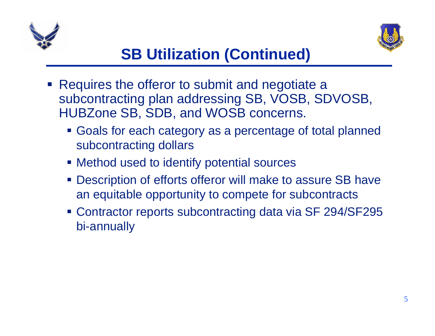



- **Service Service**  Requires the offeror to submit and negotiate a subcontracting plan addressing SB, VOSB, SDVOSB, HUBZone SB, SDB, and WOSB concerns.
	- Goals for each category as a percentage of total planned subcontracting dollars
	- Method used to identify potential sources
	- Description of efforts offeror will make to assure SB have an equitable opportunity to compete for subcontracts
	- Contractor reports subcontracting data via SF 294/SF295 bi-annually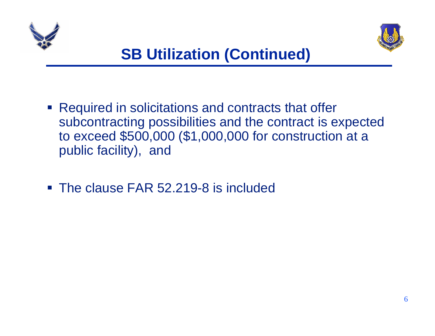



- **Required in solicitations and contracts that offer** subcontracting possibilities and the contract is expected to exceed \$500,000 (\$1,000,000 for construction at a public facility), and
- The clause FAR 52.219-8 is included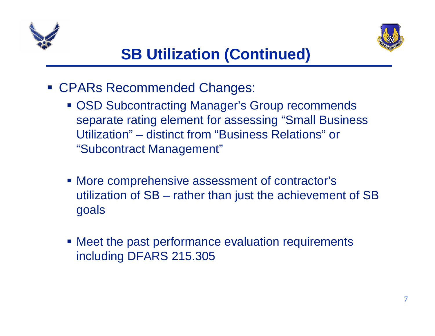



- CPARs Recommended Changes:
	- OSD Subcontracting Manager's Group recommends separate rating element for assessing "Small Business Utilization" – distinct from "Business Relations" or "Subcontract Management"
	- More comprehensive assessment of contractor's utilization of SB – rather than just the achievement of SB goals
	- Meet the past performance evaluation requirements including DFARS 215.305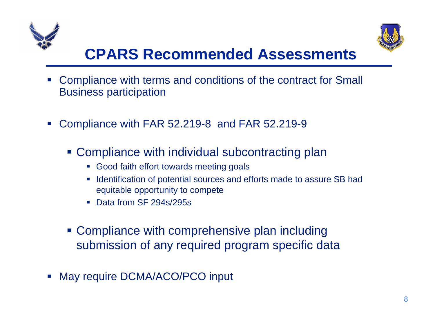



## **CPARS Recommended Assessments**

- Compliance with terms and conditions of the contract for Small Business participation
- $\mathcal{L}_{\mathcal{A}}$  Compliance with FAR 52.219-8 and FAR 52.219-9
	- **Compliance with individual subcontracting plan** 
		- Good faith effort towards meeting goals
		- **If Identification of potential sources and efforts made to assure SB had** equitable opportunity to compete
		- Data from SF 294s/295s
	- **Compliance with comprehensive plan including** submission of any required program specific data
- May require DCMA/ACO/PCO input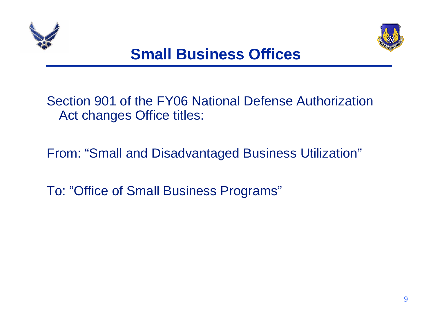



Section 901 of the FY06 National Defense Authorization Act changes Office titles:

From: "Small and Disadvantaged Business Utilization"

To: "Office of Small Business Programs"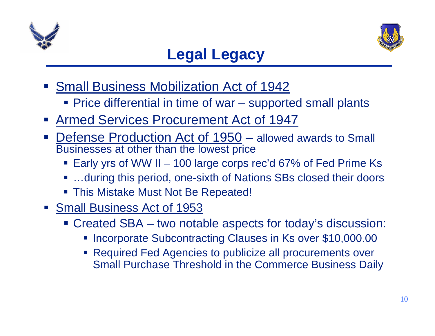



#### **Legal Legacy**

- **Small Business Mobilization Act of 1942** 
	- Price differential in time of war supported small plants
- Armed Services Procurement Act of 1947
- Defense Production Act of 1950 allowed awards to Small Businesses at other than the lowest price
	- Early yrs of WW II 100 large corps rec'd 67% of Fed Prime Ks
	- ...during this period, one-sixth of Nations SBs closed their doors
	- This Mistake Must Not Be Repeated!
- **Small Business Act of 1953** 
	- Created SBA two notable aspects for today's discussion:
		- **Incorporate Subcontracting Clauses in Ks over \$10,000.00**
		- Required Fed Agencies to publicize all procurements over Small Purchase Threshold in the Commerce Business Daily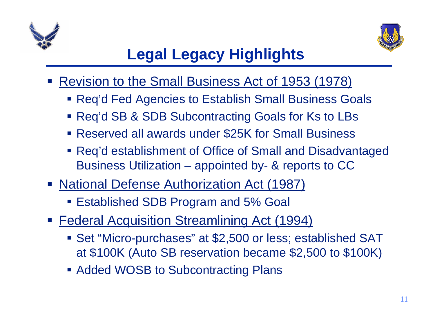



## **Legal Legacy Highlights**

- **Service Service**  Revision to the Small Business Act of 1953 (1978)
	- Req'd Fed Agencies to Establish Small Business Goals
	- Req'd SB & SDB Subcontracting Goals for Ks to LBs
	- Reserved all awards under \$25K for Small Business
	- Req'd establishment of Office of Small and Disadvantaged Business Utilization – appointed by- & reports to CC
- **National Defense Authorization Act (1987)** 
	- Established SDB Program and 5% Goal
- **Federal Acquisition Streamlining Act (1994)** 
	- Set "Micro-purchases" at \$2,500 or less; established SAT at \$100K (Auto SB reservation became \$2,500 to \$100K)
	- **Added WOSB to Subcontracting Plans**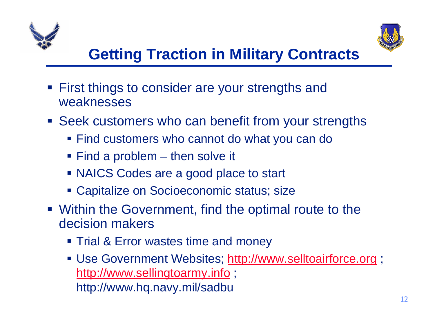



- First things to consider are your strengths and weaknesses
- **Seek customers who can benefit from your strengths** 
	- Find customers who cannot do what you can do
	- Find a problem then solve it
	- NAICS Codes are a good place to start
	- Capitalize on Socioeconomic status; size
- **Within the Government, find the optimal route to the** decision makers
	- **Trial & Error wastes time and money**
	- **Use Government Websites; http://www.selltoairforce.org ;** http://www.sellingtoarmy.info; http://www.hq.navy.mil/sadbu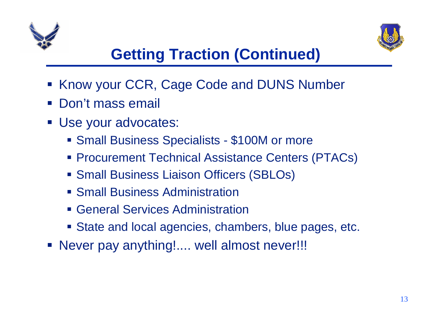



## **Getting Traction (Continued)**

- **Service Service** Know your CCR, Cage Code and DUNS Number
- $\mathcal{L}_{\mathcal{A}}$ Don't mass email
- Use your advocates:
	- **Small Business Specialists \$100M or more**
	- Procurement Technical Assistance Centers (PTACs)
	- Small Business Liaison Officers (SBLOs)
	- **Small Business Administration**
	- General Services Administration
	- State and local agencies, chambers, blue pages, etc.
- Never pay anything!.... well almost never!!!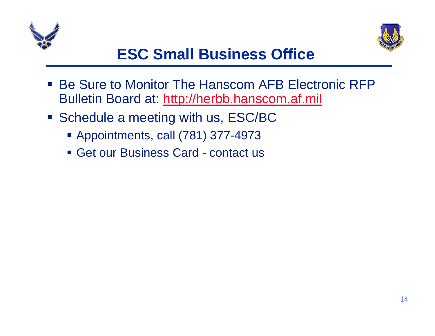



## **ESC Small Business Office**

- $\mathcal{L}_{\mathcal{A}}$  Be Sure to Monitor The Hanscom AFB Electronic RFP Bulletin Board at: http://herbb.hanscom.af.mil
- **Schedule a meeting with us, ESC/BC** 
	- Appointments, call (781) 377-4973
	- Get our Business Card contact us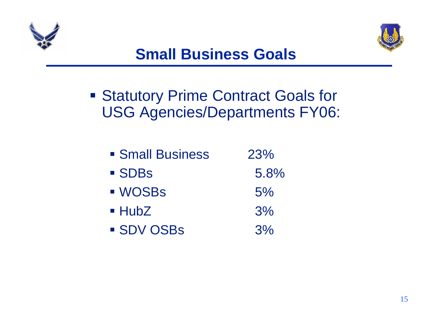



**Statutory Prime Contract Goals for** USG Agencies/Departments FY06:

| • Small Business    | 23%   |
|---------------------|-------|
| <b>SDBs</b>         | 5.8%  |
| <b>WOSBS</b>        | 5%    |
| $\blacksquare$ HubZ | 3%    |
| <b>SDV OSBS</b>     | $3\%$ |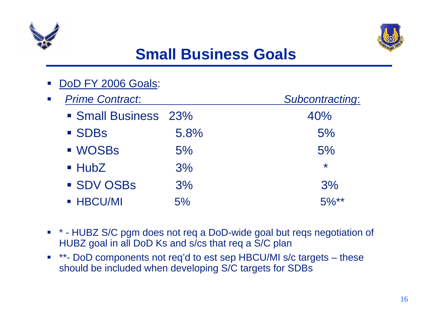



## **Small Business Goals**

|                         | DoD FY 2006 Goals:     |                 |         |
|-------------------------|------------------------|-----------------|---------|
| $\overline{\mathbb{R}}$ | <b>Prime Contract.</b> | Subcontracting: |         |
|                         | • Small Business 23%   |                 | 40%     |
|                         | <b>SDBs</b>            | 5.8%            | 5%      |
|                         | <b>WOSBs</b>           | 5%              | 5%      |
|                         | $\blacksquare$ HubZ    | 3%              | $\star$ |
|                         | <b>SDV OSBS</b>        | 3%              | 3%      |
|                         | <b>- HBCU/MI</b>       | 5%              | $5\%**$ |

- \* HUBZ S/C pgm does not req a DoD-wide goal but reqs negotiation of HUBZ goal in all DoD Ks and s/cs that req a S/C plan
- $\mathcal{L}_{\mathcal{A}}$  \*\*- DoD components not req'd to est sep HBCU/MI s/c targets – these should be included when developing S/C targets for SDBs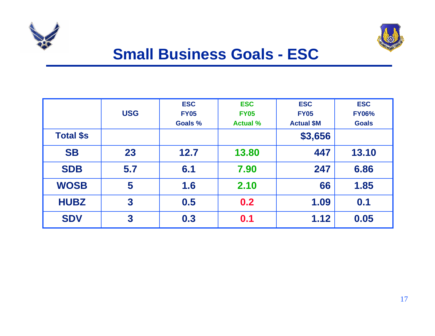



#### **Small Business Goals - ESC**

|                  | <b>USG</b>              | <b>ESC</b><br><b>FY05</b> | <b>ESC</b><br><b>FY05</b> | <b>ESC</b><br><b>FY05</b> | <b>ESC</b><br><b>FY06%</b> |
|------------------|-------------------------|---------------------------|---------------------------|---------------------------|----------------------------|
|                  |                         | Goals %                   | <b>Actual %</b>           | <b>Actual \$M</b>         | <b>Goals</b>               |
| <b>Total \$s</b> |                         |                           |                           | \$3,656                   |                            |
| <b>SB</b>        | 23                      | 12.7                      | 13.80                     | 447                       | 13.10                      |
| <b>SDB</b>       | 5.7                     | 6.1                       | 7.90                      | 247                       | 6.86                       |
| <b>WOSB</b>      | 5                       | 1.6                       | 2.10                      | 66                        | 1.85                       |
| <b>HUBZ</b>      | $\overline{\mathbf{3}}$ | 0.5                       | 0.2                       | 1.09                      | 0.1                        |
| <b>SDV</b>       | 3                       | 0.3                       | 0.1                       | 1.12                      | 0.05                       |